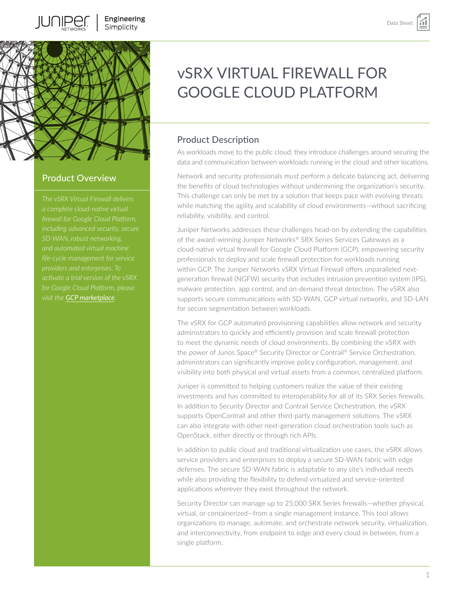

## Product Overview

*firewall for Google Cloud Platform, providers and enterprises. To visit the [GCP marketplace](https://console.cloud.google.com/marketplace/details/juniper-marketplace/vsrx-next-generation-firewall?q=vsrx&id=de0a15a3-968e-4bed-8eca-e892b06e8701).*

# vSRX VIRTUAL FIREWALL FOR GOOGLE CLOUD PLATFORM

## Product Description

As workloads move to the public cloud, they introduce challenges around securing the data and communication between workloads running in the cloud and other locations.

Network and security professionals must perform a delicate balancing act, delivering the benefits of cloud technologies without undermining the organization's security. This challenge can only be met by a solution that keeps pace with evolving threats while matching the agility and scalability of cloud environments—without sacrificing reliability, visibility, and control.

Juniper Networks addresses these challenges head-on by extending the capabilities of the award-winning Juniper Networks® SRX Series Services Gateways as a cloud-native virtual firewall for Google Cloud Platform (GCP), empowering security professionals to deploy and scale firewall protection for workloads running within GCP. The Juniper Networks vSRX Virtual Firewall offers unparalleled nextgeneration firewall (NGFW) security that includes intrusion prevention system (IPS), malware protection, app control, and on-demand threat detection. The vSRX also supports secure communications with SD-WAN, GCP virtual networks, and SD-LAN for secure segmentation between workloads.

The vSRX for GCP automated provisioning capabilities allow network and security administrators to quickly and efficiently provision and scale firewall protection to meet the dynamic needs of cloud environments. By combining the vSRX with the power of Junos Space® Security Director or Contrail® Service Orchestration, administrators can significantly improve policy configuration, management, and visibility into both physical and virtual assets from a common, centralized platform.

Juniper is committed to helping customers realize the value of their existing investments and has committed to interoperability for all of its SRX Series firewalls. In addition to Security Director and Contrail Service Orchestration, the vSRX supports OpenContrail and other third-party management solutions. The vSRX can also integrate with other next-generation cloud orchestration tools such as OpenStack, either directly or through rich APIs.

In addition to public cloud and traditional virtualization use cases, the vSRX allows service providers and enterprises to deploy a secure SD-WAN fabric with edge defenses. The secure SD-WAN fabric is adaptable to any site's individual needs while also providing the flexibility to defend virtualized and service-oriented applications wherever they exist throughout the network.

Security Director can manage up to 25,000 SRX Series firewalls—whether physical, virtual, or containerized—from a single management instance. This tool allows organizations to manage, automate, and orchestrate network security, virtualization, and interconnectivity, from endpoint to edge and every cloud in between, from a single platform.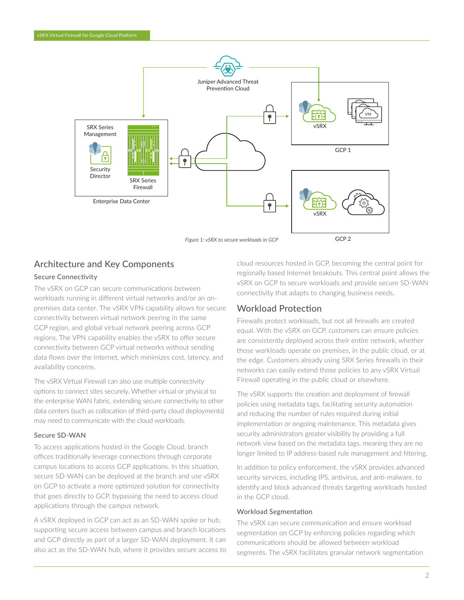

## Architecture and Key Components

#### Secure Connectivity

The vSRX on GCP can secure communications between workloads running in different virtual networks and/or an onpremises data center. The vSRX VPN capability allows for secure connectivity between virtual network peering in the same GCP region, and global virtual network peering across GCP regions. The VPN capability enables the vSRX to offer secure connectivity between GCP virtual networks without sending data flows over the Internet, which minimizes cost, latency, and availability concerns.

The vSRX Virtual Firewall can also use multiple connectivity options to connect sites securely. Whether virtual or physical to the enterprise WAN fabric, extending secure connectivity to other data centers (such as collocation of third-party cloud deployments) may need to communicate with the cloud workloads.

#### Secure SD-WAN

To access applications hosted in the Google Cloud, branch offices traditionally leverage connections through corporate campus locations to access GCP applications. In this situation, secure SD-WAN can be deployed at the branch and use vSRX on GCP to activate a more optimized solution for connectivity that goes directly to GCP, bypassing the need to access cloud applications through the campus network.

A vSRX deployed in GCP can act as an SD-WAN spoke or hub, supporting secure access between campus and branch locations and GCP directly as part of a larger SD-WAN deployment. It can also act as the SD-WAN hub, where it provides secure access to

cloud resources hosted in GCP, becoming the central point for regionally based Internet breakouts. This central point allows the vSRX on GCP to secure workloads and provide secure SD-WAN connectivity that adapts to changing business needs.

## Workload Protection

Firewalls protect workloads, but not all firewalls are created equal. With the vSRX on GCP, customers can ensure policies are consistently deployed across their entire network, whether those workloads operate on premises, in the public cloud, or at the edge. Customers already using SRX Series firewalls in their networks can easily extend those policies to any vSRX Virtual Firewall operating in the public cloud or elsewhere.

The vSRX supports the creation and deployment of firewall policies using metadata tags, facilitating security automation and reducing the number of rules required during initial implementation or ongoing maintenance. This metadata gives security administrators greater visibility by providing a full network view based on the metadata tags, meaning they are no longer limited to IP address-based rule management and filtering.

In addition to policy enforcement, the vSRX provides advanced security services, including IPS, antivirus, and anti-malware, to identify and block advanced threats targeting workloads hosted in the GCP cloud.

#### Workload Segmentation

The vSRX can secure communication and ensure workload segmentation on GCP by enforcing policies regarding which communications should be allowed between workload segments. The vSRX facilitates granular network segmentation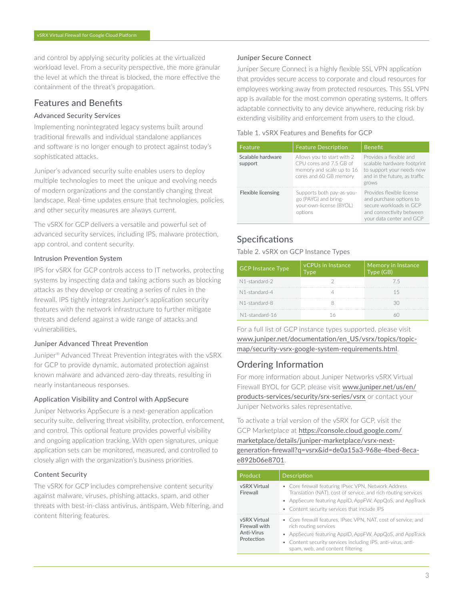and control by applying security policies at the virtualized workload level. From a security perspective, the more granular the level at which the threat is blocked, the more effective the containment of the threat's propagation.

## Features and Benefits

#### Advanced Security Services

Implementing nonintegrated legacy systems built around traditional firewalls and individual standalone appliances and software is no longer enough to protect against today's sophisticated attacks.

Juniper's advanced security suite enables users to deploy multiple technologies to meet the unique and evolving needs of modern organizations and the constantly changing threat landscape. Real-time updates ensure that technologies, policies, and other security measures are always current.

The vSRX for GCP delivers a versatile and powerful set of advanced security services, including IPS, malware protection, app control, and content security.

#### Intrusion Prevention System

IPS for vSRX for GCP controls access to IT networks, protecting systems by inspecting data and taking actions such as blocking attacks as they develop or creating a series of rules in the firewall. IPS tightly integrates Juniper's application security features with the network infrastructure to further mitigate threats and defend against a wide range of attacks and vulnerabilities.

#### Juniper Advanced Threat Prevention

Juniper® Advanced Threat Prevention integrates with the vSRX for GCP to provide dynamic, automated protection against known malware and advanced zero-day threats, resulting in nearly instantaneous responses.

#### Application Visibility and Control with AppSecure

Juniper Networks AppSecure is a next-generation application security suite, delivering threat visibility, protection, enforcement, and control. This optional feature provides powerful visibility and ongoing application tracking. With open signatures, unique application sets can be monitored, measured, and controlled to closely align with the organization's business priorities.

#### Content Security

The vSRX for GCP includes comprehensive content security against malware, viruses, phishing attacks, spam, and other threats with best-in-class antivirus, antispam, Web filtering, and content filtering features.

#### Juniper Secure Connect

Juniper Secure Connect is a highly flexible SSL VPN application that provides secure access to corporate and cloud resources for employees working away from protected resources. This SSL VPN app is available for the most common operating systems. It offers adaptable connectivity to any device anywhere, reducing risk by extending visibility and enforcement from users to the cloud.

#### Table 1. vSRX Features and Benefits for GCP

| Feature                      | <b>Feature Description</b>                                                                                   | <b>Benefit</b>                                                                                                                          |
|------------------------------|--------------------------------------------------------------------------------------------------------------|-----------------------------------------------------------------------------------------------------------------------------------------|
| Scalable hardware<br>support | Allows you to start with 2<br>CPU cores and 7.5 GB of<br>memory and scale up to 16<br>cores and 60 GB memory | Provides a flexible and<br>scalable hardware footprint<br>to support your needs now<br>and in the future, as traffic<br>grows           |
| Flexible licensing           | Supports both pay-as-you-<br>go (PAYG) and bring-<br>your-own-license (BYOL)<br>options                      | Provides flexible license<br>and purchase options to<br>secure workloads in GCP<br>and connectivity between<br>your data center and GCP |

## Specifications

Table 2. vSRX on GCP Instance Types

| <b>GCP Instance Type</b> | <b>vCPUs in Instance</b><br><b>Type</b> | Memory in Instance<br>Type(GB) |
|--------------------------|-----------------------------------------|--------------------------------|
| N1-standard-2            |                                         | 75                             |
| N1-standard-4            |                                         | 15                             |
| N1-standard-8            |                                         | RN                             |
| N1-standard-16           |                                         |                                |

For a full list of GCP instance types supported, please visit [www.juniper.net/documentation/en\\_US/vsrx/topics/topic](https://www.juniper.net/documentation/en_US/vsrx/topics/topic-map/security-vsrx-google-system-requirements.html)[map/security-vsrx-google-system-requirements.html](https://www.juniper.net/documentation/en_US/vsrx/topics/topic-map/security-vsrx-google-system-requirements.html).

## Ordering Information

For more information about Juniper Networks vSRX Virtual Firewall BYOL for GCP, please visit [www.juniper.net/us/en/](http://www.juniper.net/us/en/products-services/security/srx-series/vsrx) [products-services/security/srx-series/vsrx](http://www.juniper.net/us/en/products-services/security/srx-series/vsrx) or contact your Juniper Networks sales representative.

To activate a trial version of the vSRX for GCP, visit the GCP Marketplace at [https://console.cloud.google.com/](https://console.cloud.google.com/marketplace/details/juniper-marketplace/vsrx-next-generation-firewall?q=vsrx&id=de0a15a3-968e-4bed-8eca-e892b06e8701) [marketplace/details/juniper-marketplace/vsrx-next](https://console.cloud.google.com/marketplace/details/juniper-marketplace/vsrx-next-generation-firewall?q=vsrx&id=de0a15a3-968e-4bed-8eca-e892b06e8701)[generation-firewall?q=vsrx&id=de0a15a3-968e-4bed-8eca](https://console.cloud.google.com/marketplace/details/juniper-marketplace/vsrx-next-generation-firewall?q=vsrx&id=de0a15a3-968e-4bed-8eca-e892b06e8701)[e892b06e8701](https://console.cloud.google.com/marketplace/details/juniper-marketplace/vsrx-next-generation-firewall?q=vsrx&id=de0a15a3-968e-4bed-8eca-e892b06e8701).

| Product                                                   | Description                                                                                                                                                                                                                                             |
|-----------------------------------------------------------|---------------------------------------------------------------------------------------------------------------------------------------------------------------------------------------------------------------------------------------------------------|
| vSRX Virtual<br>Firewall                                  | • Core firewall featuring IPsec VPN, Network Address<br>Translation (NAT), cost of service, and rich routing services<br>• AppSecure featuring AppID, AppFW, AppQoS, and AppTrack<br>• Content security services that include IPS                       |
| vSRX Virtual<br>Firewall with<br>Anti-Virus<br>Protection | • Core firewall features, IPsec VPN, NAT, cost of service, and<br>rich routing services<br>• AppSecure featuring AppID, AppFW, AppQoS, and AppTrack<br>• Content security services including IPS, anti-virus, anti-<br>spam, web, and content filtering |